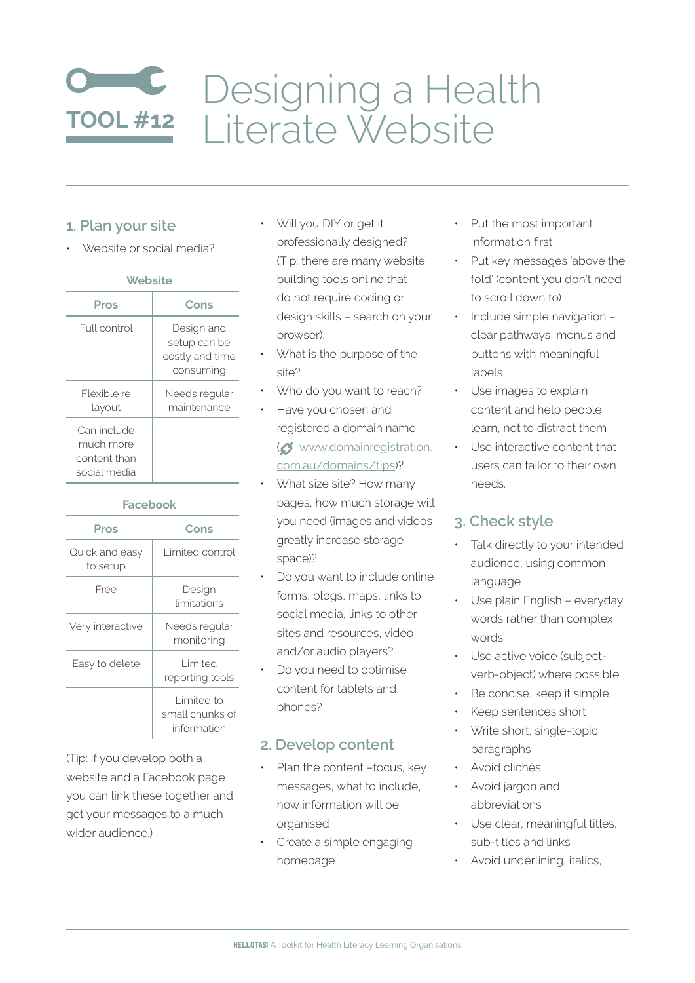# Designing a Health **TOOL#12** | iterate Website

#### **1. Plan your site**

• Website or social media?

| ۰.<br>- 3<br>v.<br><b>COLLEGE</b> |
|-----------------------------------|
|-----------------------------------|

| Pros                                                     | Cons                                                       |
|----------------------------------------------------------|------------------------------------------------------------|
| Full control                                             | Design and<br>setup can be<br>costly and time<br>consuming |
| Flexible re<br>layout                                    | Needs regular<br>maintenance                               |
| Can include<br>much more<br>content than<br>social media |                                                            |

#### **Facebook**

| Pros                       | Cons                                         |
|----------------------------|----------------------------------------------|
| Quick and easy<br>to setup | Limited control                              |
| Free                       | Design<br>limitations                        |
| Very interactive           | Needs reqular<br>monitoring                  |
| Easy to delete             | Limited<br>reporting tools                   |
|                            | Limited to<br>small chunks of<br>information |

(Tip: If you develop both a website and a Facebook page you can link these together and get your messages to a much wider audience.)

Will you DIY or get it professionally designed? (Tip: there are many website building tools online that do not require coding or design skills – search on your browser).

- What is the purpose of the site?
- Who do you want to reach?
- Have you chosen and [registered a domain name](http://www.domainregistration.com.au/domains/tips/) (c) [www.domainregistration.](http://www.domainregistration.com.au/domains/tips/) [com.au/domains/tips](http://www.domainregistration.com.au/domains/tips/))?
- What size site? How many pages, how much storage will you need (images and videos greatly increase storage space)?
- Do you want to include online forms, blogs, maps, links to social media, links to other sites and resources, video and/or audio players?
- Do you need to optimise content for tablets and phones?

## **2. Develop content**

- Plan the content -focus, key messages, what to include, how information will be organised
- Create a simple engaging homepage
- Put the most important information first
- Put key messages 'above the fold' (content you don't need to scroll down to)
- Include simple navigation clear pathways, menus and buttons with meaningful labels
- Use images to explain content and help people learn, not to distract them
- Use interactive content that users can tailor to their own needs.

## **3. Check style**

- Talk directly to your intended audience, using common language
- Use plain English everyday words rather than complex words
- Use active voice (subjectverb-object) where possible
- Be concise, keep it simple
- Keep sentences short
- Write short, single-topic paragraphs
- Avoid clichés
- Avoid jargon and abbreviations
- Use clear, meaningful titles, sub-titles and links
- Avoid underlining, italics,